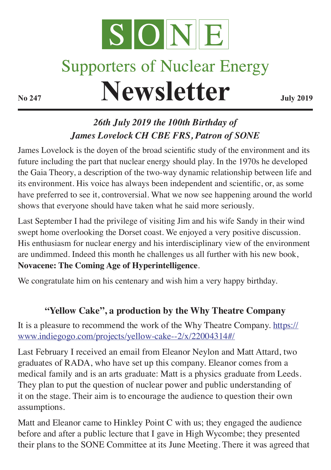

## **Supporters of Nuclear Energy**

**Newsletter July 2019** 

## *26th July 2019 the 100th Birthday of James Lovelock CH CBE FRS, Patron of SONE*

James Lovelock is the doyen of the broad scientific study of the environment and its future including the part that nuclear energy should play. In the 1970s he developed the Gaia Theory, a description of the two-way dynamic relationship between life and its environment. His voice has always been independent and scientific, or, as some have preferred to see it, controversial. What we now see happening around the world shows that everyone should have taken what he said more seriously.

Last September I had the privilege of visiting Jim and his wife Sandy in their wind swept home overlooking the Dorset coast. We enjoyed a very positive discussion. His enthusiasm for nuclear energy and his interdisciplinary view of the environment are undimmed. Indeed this month he challenges us all further with his new book, **Novacene: The Coming Age of Hyperintelligence**.

We congratulate him on his centenary and wish him a very happy birthday.

## **"Yellow Cake", a production by the Why Theatre Company**

It is a pleasure to recommend the work of the Why Theatre Company. https:// www.indiegogo.com/projects/yellow-cake--2/x/22004314#/

Last February I received an email from Eleanor Neylon and Matt Attard, two graduates of RADA, who have set up this company. Eleanor comes from a medical family and is an arts graduate: Matt is a physics graduate from Leeds. They plan to put the question of nuclear power and public understanding of it on the stage. Their aim is to encourage the audience to question their own assumptions.

Matt and Eleanor came to Hinkley Point C with us; they engaged the audience before and after a public lecture that I gave in High Wycombe; they presented their plans to the SONE Committee at its June Meeting. There it was agreed that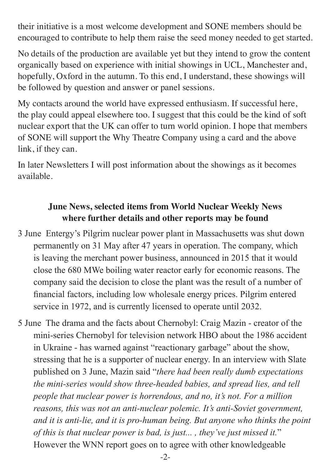their initiative is a most welcome development and SONE members should be encouraged to contribute to help them raise the seed money needed to get started.

No details of the production are available yet but they intend to grow the content organically based on experience with initial showings in UCL, Manchester and, hopefully, Oxford in the autumn. To this end, I understand, these showings will be followed by question and answer or panel sessions.

My contacts around the world have expressed enthusiasm. If successful here, the play could appeal elsewhere too. I suggest that this could be the kind of soft nuclear export that the UK can offer to turn world opinion. I hope that members of SONE will support the Why Theatre Company using a card and the above link, if they can.

In later Newsletters I will post information about the showings as it becomes available.

## **June News, selected items from World Nuclear Weekly News where further details and other reports may be found**

- 3 June Entergy's Pilgrim nuclear power plant in Massachusetts was shut down permanently on 31 May after 47 years in operation. The company, which is leaving the merchant power business, announced in 2015 that it would close the 680 MWe boiling water reactor early for economic reasons. The company said the decision to close the plant was the result of a number of financial factors, including low wholesale energy prices. Pilgrim entered service in 1972, and is currently licensed to operate until 2032.
- 5 June The drama and the facts about Chernobyl: Craig Mazin creator of the mini-series Chernobyl for television network HBO about the 1986 accident in Ukraine - has warned against "reactionary garbage" about the show, stressing that he is a supporter of nuclear energy. In an interview with Slate published on 3 June, Mazin said "*there had been really dumb expectations the mini-series would show three-headed babies, and spread lies, and tell people that nuclear power is horrendous, and no, it's not. For a million reasons, this was not an anti-nuclear polemic. It's anti-Soviet government, and it is anti-lie, and it is pro-human being. But anyone who thinks the point of this is that nuclear power is bad, is just... , they've just missed it.*" However the WNN report goes on to agree with other knowledgeable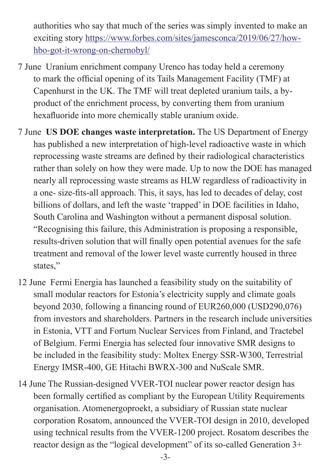authorities who say that much of the series was simply invented to make an exciting story https://www.forbes.com/sites/jamesconca/2019/06/27/howhbo-got-it-wrong-on-chernobyl/

- 7 June Uranium enrichment company Urenco has today held a ceremony to mark the official opening of its Tails Management Facility (TMF) at Capenhurst in the UK. The TMF will treat depleted uranium tails, a byproduct of the enrichment process, by converting them from uranium hexafluoride into more chemically stable uranium oxide.
- 7 June **US DOE changes waste interpretation.** The US Department of Energy has published a new interpretation of high-level radioactive waste in which reprocessing waste streams are defined by their radiological characteristics rather than solely on how they were made. Up to now the DOE has managed nearly all reprocessing waste streams as HLW regardless of radioactivity in a one- size-fits-all approach. This, it says, has led to decades of delay, cost billions of dollars, and left the waste 'trapped' in DOE facilities in Idaho, South Carolina and Washington without a permanent disposal solution. "Recognising this failure, this Administration is proposing a responsible, results-driven solution that will finally open potential avenues for the safe treatment and removal of the lower level waste currently housed in three states,"
- 12 June Fermi Energia has launched a feasibility study on the suitability of small modular reactors for Estonia's electricity supply and climate goals beyond 2030, following a financing round of EUR260,000 (USD290,076) from investors and shareholders. Partners in the research include universities in Estonia, VTT and Fortum Nuclear Services from Finland, and Tractebel of Belgium. Fermi Energia has selected four innovative SMR designs to be included in the feasibility study: Moltex Energy SSR-W300, Terrestrial Energy IMSR-400, GE Hitachi BWRX-300 and NuScale SMR.
- 14 June The Russian-designed VVER-TOI nuclear power reactor design has been formally certified as compliant by the European Utility Requirements organisation. Atomenergoproekt, a subsidiary of Russian state nuclear corporation Rosatom, announced the VVER-TOI design in 2010, developed using technical results from the VVER-1200 project. Rosatom describes the reactor design as the "logical development" of its so-called Generation 3+